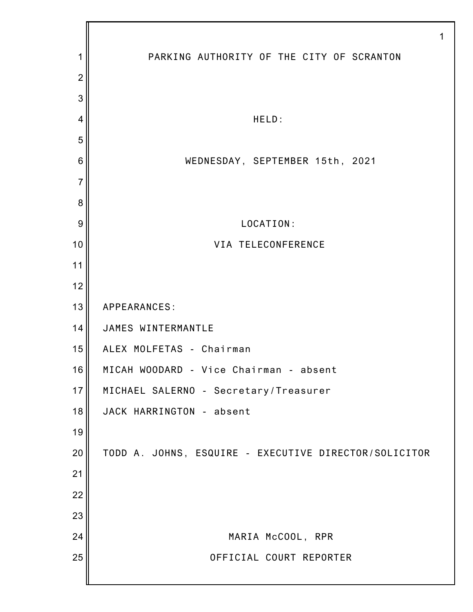PARKING AUTHORITY OF THE CITY OF SCRANTON HELD: WEDNESDAY, SEPTEMBER 15th, 2021 LOCATION: VIA TELECONFERENCE APPEARANCES: JAMES WINTERMANTLE ALEX MOLFETAS - Chairman MICAH WOODARD - Vice Chairman - absent MICHAEL SALERNO - Secretary/Treasurer JACK HARRINGTON - absent TODD A. JOHNS, ESQUIRE - EXECUTIVE DIRECTOR/SOLICITOR MARIA McCOOL, RPR OFFICIAL COURT REPORTER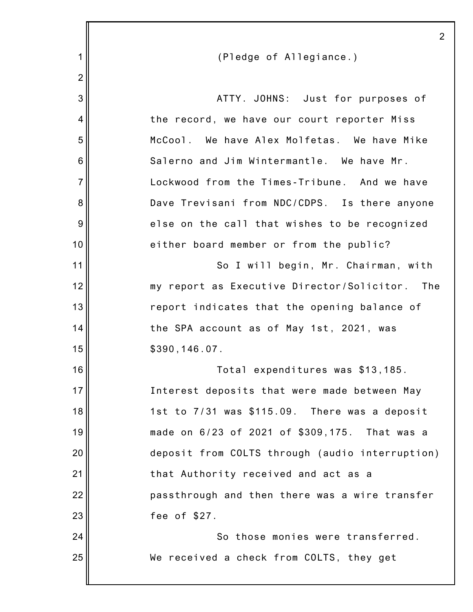|                | 2                                               |
|----------------|-------------------------------------------------|
| 1              | (Pledge of Allegiance.)                         |
| $\overline{2}$ |                                                 |
| 3              | ATTY. JOHNS: Just for purposes of               |
| 4              | the record, we have our court reporter Miss     |
| 5              | McCool. We have Alex Molfetas. We have Mike     |
| 6              | Salerno and Jim Wintermantle. We have Mr.       |
| $\overline{7}$ | Lockwood from the Times-Tribune. And we have    |
| 8              | Dave Trevisani from NDC/CDPS. Is there anyone   |
| 9              | else on the call that wishes to be recognized   |
| 10             | either board member or from the public?         |
| 11             | So I will begin, Mr. Chairman, with             |
| 12             | my report as Executive Director/Solicitor. The  |
| 13             | report indicates that the opening balance of    |
| 14             | the SPA account as of May 1st, 2021, was        |
| 15             | \$390, 146.07.                                  |
| 16             | Total expenditures was \$13,185.                |
| 17             | Interest deposits that were made between May    |
| 18             | 1st to 7/31 was \$115.09. There was a deposit   |
| 19             | made on 6/23 of 2021 of \$309,175. That was a   |
| 20             | deposit from COLTS through (audio interruption) |
| 21             | that Authority received and act as a            |
| 22             | passthrough and then there was a wire transfer  |
| 23             | fee of \$27.                                    |
| 24             | So those monies were transferred.               |
| 25             | We received a check from COLTS, they get        |
|                |                                                 |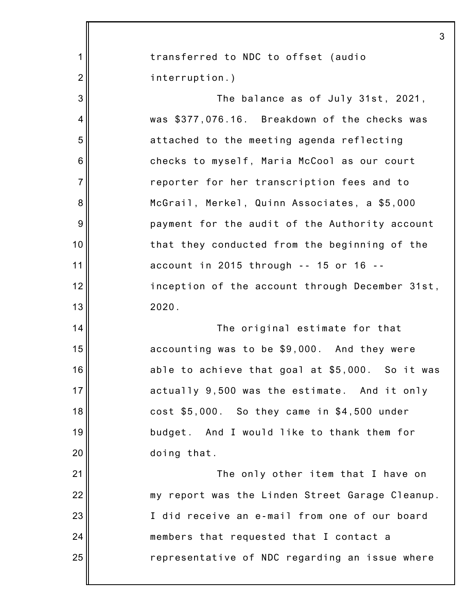|                | 3                                               |
|----------------|-------------------------------------------------|
| 1              | transferred to NDC to offset (audio             |
| $\overline{2}$ | interruption.)                                  |
| 3              | The balance as of July 31st, 2021,              |
| 4              | was \$377,076.16. Breakdown of the checks was   |
| 5              | attached to the meeting agenda reflecting       |
| 6              | checks to myself, Maria McCool as our court     |
| $\overline{7}$ | reporter for her transcription fees and to      |
| 8              | McGrail, Merkel, Quinn Associates, a \$5,000    |
| 9              | payment for the audit of the Authority account  |
| 10             | that they conducted from the beginning of the   |
| 11             | account in 2015 through -- 15 or 16 --          |
| 12             | inception of the account through December 31st, |
| 13             | 2020.                                           |
| 14             | The original estimate for that                  |
| 15             | accounting was to be \$9,000. And they were     |
| 16             | able to achieve that goal at \$5,000. So it was |
| 17             | actually 9,500 was the estimate. And it only    |
| 18             | cost \$5,000. So they came in \$4,500 under     |
| 19             | budget. And I would like to thank them for      |
| 20             | doing that.                                     |
| 21             | The only other item that I have on              |
| 22             | my report was the Linden Street Garage Cleanup. |
| 23             | I did receive an e-mail from one of our board   |
| 24             | members that requested that I contact a         |
| 25             | representative of NDC regarding an issue where  |
|                |                                                 |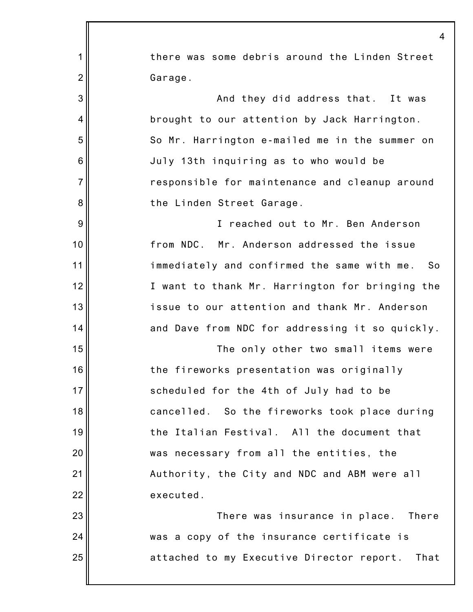|                | $\overline{4}$                                      |
|----------------|-----------------------------------------------------|
| 1              | there was some debris around the Linden Street      |
| $\overline{2}$ | Garage.                                             |
| 3              | And they did address that. It was                   |
| 4              | brought to our attention by Jack Harrington.        |
| 5              | So Mr. Harrington e-mailed me in the summer on      |
| 6              | July 13th inquiring as to who would be              |
| $\overline{7}$ | responsible for maintenance and cleanup around      |
| 8              | the Linden Street Garage.                           |
| 9              | I reached out to Mr. Ben Anderson                   |
| 10             | from NDC. Mr. Anderson addressed the issue          |
| 11             | immediately and confirmed the same with me.<br>- So |
| 12             | I want to thank Mr. Harrington for bringing the     |
| 13             | issue to our attention and thank Mr. Anderson       |
| 14             | and Dave from NDC for addressing it so quickly.     |
| 15             | The only other two small items were                 |
| 16             | the fireworks presentation was originally           |
| 17             | scheduled for the 4th of July had to be             |
| 18             | cancelled. So the fireworks took place during       |
| 19             | the Italian Festival. All the document that         |
| 20             | was necessary from all the entities, the            |
| 21             | Authority, the City and NDC and ABM were all        |
| 22             | executed.                                           |
| 23             | There was insurance in place. There                 |
| 24             | was a copy of the insurance certificate is          |
| 25             | attached to my Executive Director report.<br>That   |
|                |                                                     |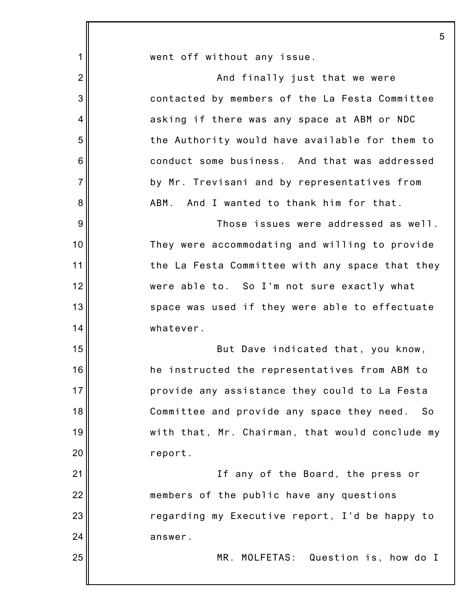|                | 5                                               |
|----------------|-------------------------------------------------|
| $\mathbf 1$    | went off without any issue.                     |
| $\overline{2}$ | And finally just that we were                   |
| 3              | contacted by members of the La Festa Committee  |
| 4              | asking if there was any space at ABM or NDC     |
| 5              | the Authority would have available for them to  |
| 6              | conduct some business. And that was addressed   |
| $\overline{7}$ | by Mr. Trevisani and by representatives from    |
| 8              | And I wanted to thank him for that.<br>ABM.     |
| $9\,$          | Those issues were addressed as well.            |
| 10             | They were accommodating and willing to provide  |
| 11             | the La Festa Committee with any space that they |
| 12             | were able to. So I'm not sure exactly what      |
| 13             | space was used if they were able to effectuate  |
| 14             | whatever.                                       |
| 15             | But Dave indicated that, you know,              |
| 16             | he instructed the representatives from ABM to   |
| 17             | provide any assistance they could to La Festa   |
| 18             | Committee and provide any space they need. So   |
| 19             | with that, Mr. Chairman, that would conclude my |
| 20             | report.                                         |
| 21             | If any of the Board, the press or               |
| 22             | members of the public have any questions        |
| 23             | regarding my Executive report, I'd be happy to  |
| 24             | answer.                                         |
| 25             | MR. MOLFETAS: Question is, how do I             |
|                |                                                 |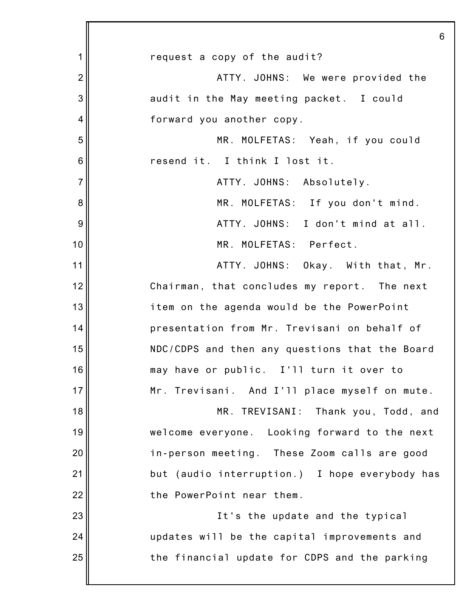|                | 6                                              |
|----------------|------------------------------------------------|
| 1              | request a copy of the audit?                   |
| $\overline{2}$ | ATTY. JOHNS: We were provided the              |
| 3              | audit in the May meeting packet. I could       |
| 4              | forward you another copy.                      |
| 5              | MR. MOLFETAS: Yeah, if you could               |
| 6              | resend it. I think I lost it.                  |
| $\overline{7}$ | ATTY. JOHNS: Absolutely.                       |
| 8              | MR. MOLFETAS: If you don't mind.               |
| 9              | ATTY. JOHNS: I don't mind at all.              |
| 10             | MR. MOLFETAS: Perfect.                         |
| 11             | ATTY. JOHNS: Okay. With that, Mr.              |
| 12             | Chairman, that concludes my report. The next   |
| 13             | item on the agenda would be the PowerPoint     |
| 14             | presentation from Mr. Trevisani on behalf of   |
| 15             | NDC/CDPS and then any questions that the Board |
| 16             | may have or public. I'll turn it over to       |
| 17             | Mr. Trevisani. And I'll place myself on mute.  |
| 18             | MR. TREVISANI: Thank you, Todd, and            |
| 19             | welcome everyone. Looking forward to the next  |
| 20             | in-person meeting. These Zoom calls are good   |
| 21             | but (audio interruption.) I hope everybody has |
| 22             | the PowerPoint near them.                      |
| 23             | It's the update and the typical                |
| 24             | updates will be the capital improvements and   |
| 25             | the financial update for CDPS and the parking  |
|                |                                                |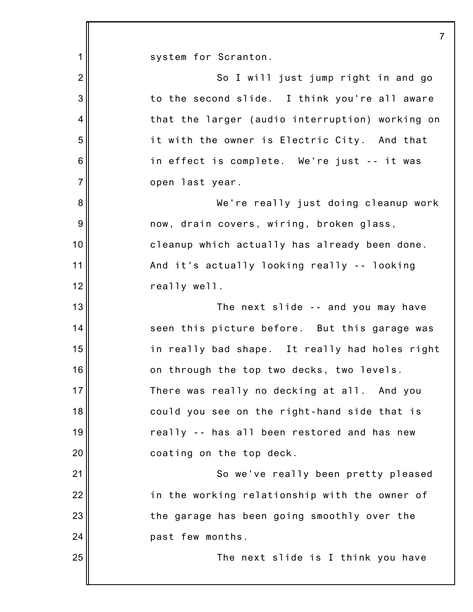| $\mathbf 1$      | system for Scranton.                            |
|------------------|-------------------------------------------------|
| $\overline{2}$   | So I will just jump right in and go             |
| 3                | to the second slide. I think you're all aware   |
| 4                | that the larger (audio interruption) working on |
| 5                | it with the owner is Electric City. And that    |
| $\,6$            | in effect is complete. We're just -- it was     |
| $\overline{7}$   | open last year.                                 |
| $\bf 8$          | We're really just doing cleanup work            |
| $\boldsymbol{9}$ | now, drain covers, wiring, broken glass,        |
| 10               | cleanup which actually has already been done.   |
| 11               | And it's actually looking really -- looking     |
| 12               | really well.                                    |
| 13               | The next slide -- and you may have              |
| 14               | seen this picture before. But this garage was   |
| 15               | in really bad shape. It really had holes right  |
| 16               | on through the top two decks, two levels.       |
| 17 <sup>1</sup>  | There was really no decking at all. And you     |
| 18               | could you see on the right-hand side that is    |
| 19               | really -- has all been restored and has new     |
| 20               | coating on the top deck.                        |
| 21               | So we've really been pretty pleased             |
| 22               | in the working relationship with the owner of   |
| 23               | the garage has been going smoothly over the     |
| 24               | past few months.                                |
| 25               | The next slide is I think you have              |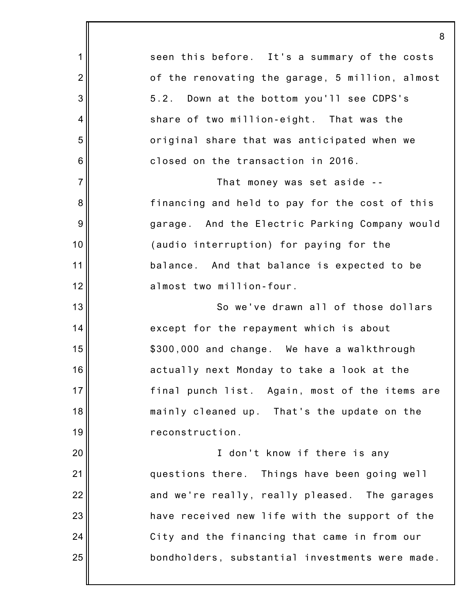|                 | 8                                               |
|-----------------|-------------------------------------------------|
| 1               | seen this before. It's a summary of the costs   |
| $\overline{2}$  | of the renovating the garage, 5 million, almost |
| 3               | 5.2. Down at the bottom you'll see CDPS's       |
| 4               | share of two million-eight. That was the        |
| 5               | original share that was anticipated when we     |
| $6\phantom{1}6$ | closed on the transaction in 2016.              |
| $\overline{7}$  | That money was set aside --                     |
| 8               | financing and held to pay for the cost of this  |
| $9\,$           | garage. And the Electric Parking Company would  |
| 10              | (audio interruption) for paying for the         |
| 11              | balance. And that balance is expected to be     |
| 12              | almost two million-four.                        |
| 13              | So we've drawn all of those dollars             |
| 14              | except for the repayment which is about         |
| 15              | \$300,000 and change. We have a walkthrough     |
| 16              | actually next Monday to take a look at the      |
| 17              | final punch list. Again, most of the items are  |
| 18              | mainly cleaned up. That's the update on the     |
| 19              | reconstruction.                                 |
| 20              | I don't know if there is any                    |
| 21              | questions there. Things have been going well    |
| 22              | and we're really, really pleased. The garages   |
| 23              | have received new life with the support of the  |
| 24              | City and the financing that came in from our    |
| 25              | bondholders, substantial investments were made. |
|                 |                                                 |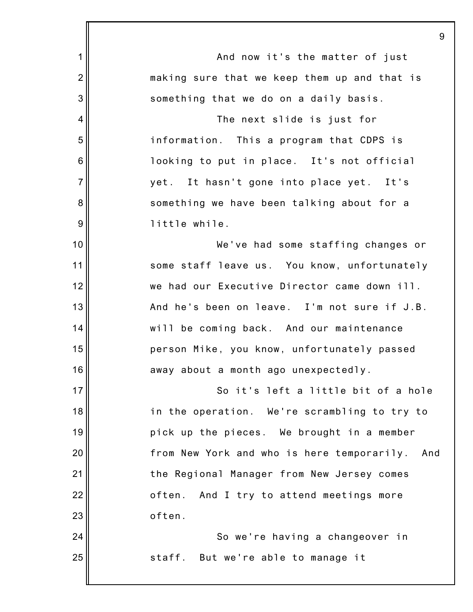|                 | 9                                                 |
|-----------------|---------------------------------------------------|
| 1               | And now it's the matter of just                   |
| $\overline{2}$  | making sure that we keep them up and that is      |
| 3               | something that we do on a daily basis.            |
| 4               | The next slide is just for                        |
| 5               | information. This a program that CDPS is          |
| $6\phantom{1}6$ | looking to put in place. It's not official        |
| $\overline{7}$  | yet. It hasn't gone into place yet. It's          |
| 8               | something we have been talking about for a        |
| 9               | little while.                                     |
| 10              | We've had some staffing changes or                |
| 11              | some staff leave us. You know, unfortunately      |
| 12              | we had our Executive Director came down ill.      |
| 13              | And he's been on leave. I'm not sure if J.B.      |
| 14              | will be coming back. And our maintenance          |
| 15              | person Mike, you know, unfortunately passed       |
| 16              | away about a month ago unexpectedly.              |
| 17              | So it's left a little bit of a hole               |
| 18              | in the operation. We're scrambling to try to      |
| 19              | pick up the pieces. We brought in a member        |
| 20              | from New York and who is here temporarily.<br>And |
| 21              | the Regional Manager from New Jersey comes        |
| 22              | And I try to attend meetings more<br>often.       |
| 23              | often.                                            |
| 24              | So we're having a changeover in                   |
| 25              | staff. But we're able to manage it                |
|                 |                                                   |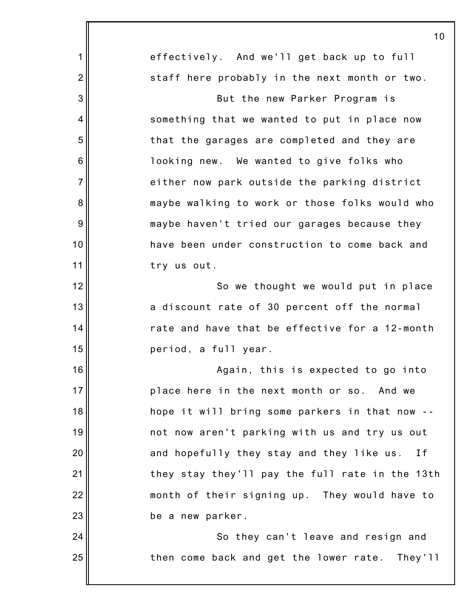|                 | 10                                              |
|-----------------|-------------------------------------------------|
| 1               | effectively. And we'll get back up to full      |
| $\overline{2}$  | staff here probably in the next month or two.   |
| 3               | But the new Parker Program is                   |
| 4               | something that we wanted to put in place now    |
| 5               | that the garages are completed and they are     |
| $6\phantom{1}6$ | looking new. We wanted to give folks who        |
| $\overline{7}$  | either now park outside the parking district    |
| 8               | maybe walking to work or those folks would who  |
| $\overline{9}$  | maybe haven't tried our garages because they    |
| 10              | have been under construction to come back and   |
| 11              | try us out.                                     |
| 12              | So we thought we would put in place             |
| 13              | a discount rate of 30 percent off the normal    |
| 14              | rate and have that be effective for a 12-month  |
| 15              | period, a full year.                            |
| 16              | Again, this is expected to go into              |
| 17              | place here in the next month or so. And we      |
| 18              | hope it will bring some parkers in that now     |
| 19              | not now aren't parking with us and try us out   |
| 20              | and hopefully they stay and they like us.<br>Ιf |
| 21              | they stay they'll pay the full rate in the 13th |
| 22              | month of their signing up. They would have to   |
| 23              | be a new parker.                                |
| 24              | So they can't leave and resign and              |
| 25              | then come back and get the lower rate. They'll  |
|                 |                                                 |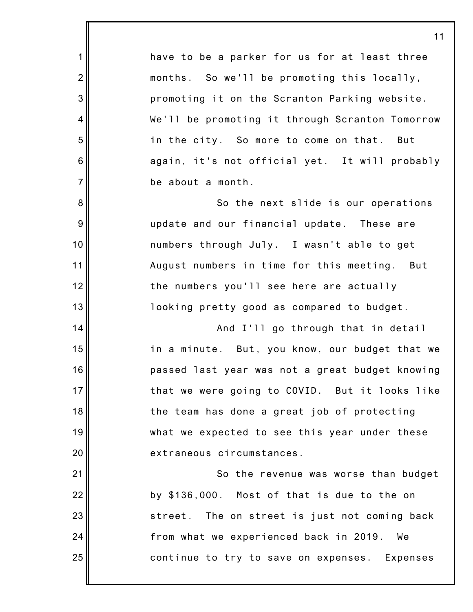have to be a parker for us for at least three months. So we'll be promoting this locally, promoting it on the Scranton Parking website. We'll be promoting it through Scranton Tomorrow in the city. So more to come on that. But again, it's not official yet. It will probably be about a month. So the next slide is our operations update and our financial update. These are numbers through July. I wasn't able to get August numbers in time for this meeting. But the numbers you'll see here are actually looking pretty good as compared to budget. And I'll go through that in detail in a minute. But, you know, our budget that we passed last year was not a great budget knowing that we were going to COVID. But it looks like the team has done a great job of protecting what we expected to see this year under these extraneous circumstances. So the revenue was worse than budget by \$136,000. Most of that is due to the on street. The on street is just not coming back

1

2

3

4

5

6

7

8

9

10

11

12

13

14

15

16

17

18

19

20

21

22

23

24

25

from what we experienced back in 2019. We continue to try to save on expenses. Expenses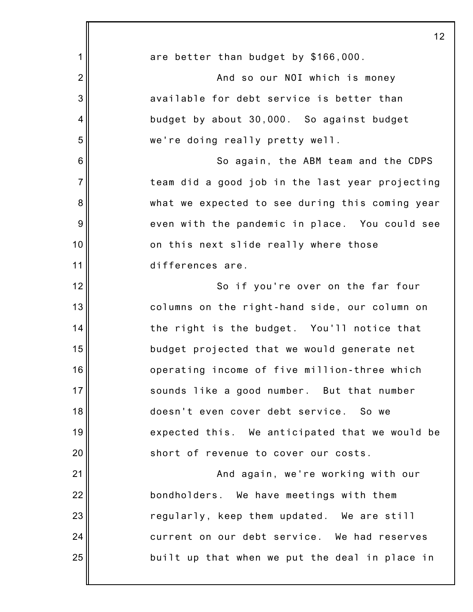|                | 12                                              |
|----------------|-------------------------------------------------|
| 1              | are better than budget by \$166,000.            |
| $\overline{2}$ | And so our NOI which is money                   |
| 3              | available for debt service is better than       |
| 4              | budget by about 30,000. So against budget       |
| 5              | we're doing really pretty well.                 |
| 6              | So again, the ABM team and the CDPS             |
| $\overline{7}$ | team did a good job in the last year projecting |
| 8              | what we expected to see during this coming year |
| 9              | even with the pandemic in place. You could see  |
| 10             | on this next slide really where those           |
| 11             | differences are.                                |
| 12             | So if you're over on the far four               |
| 13             | columns on the right-hand side, our column on   |
| 14             | the right is the budget. You'll notice that     |
| 15             | budget projected that we would generate net     |
| 16             | operating income of five million-three which    |
| 17             | sounds like a good number. But that number      |
| 18             | doesn't even cover debt service. So we          |
| 19             | expected this. We anticipated that we would be  |
| 20             | short of revenue to cover our costs.            |
| 21             | And again, we're working with our               |
| 22             | bondholders. We have meetings with them         |
| 23             | regularly, keep them updated. We are still      |
| 24             | current on our debt service. We had reserves    |
| 25             | built up that when we put the deal in place in  |
|                |                                                 |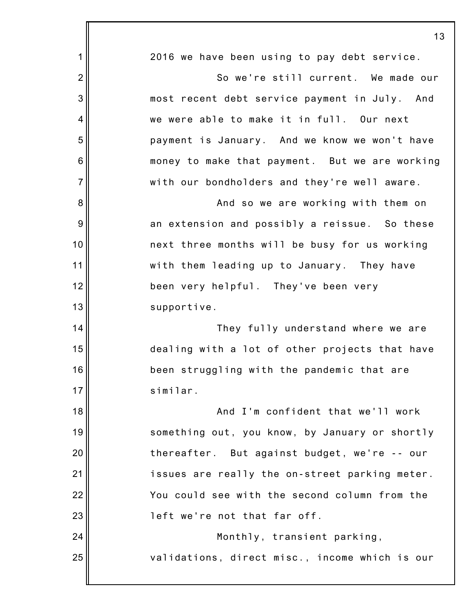|                | 13                                             |
|----------------|------------------------------------------------|
| 1              | 2016 we have been using to pay debt service.   |
| $\overline{2}$ | So we're still current. We made our            |
| 3              | most recent debt service payment in July. And  |
| $\overline{4}$ | we were able to make it in full. Our next      |
| 5              | payment is January. And we know we won't have  |
| 6              | money to make that payment. But we are working |
| $\overline{7}$ | with our bondholders and they're well aware.   |
| 8              | And so we are working with them on             |
| 9              | an extension and possibly a reissue. So these  |
| 10             | next three months will be busy for us working  |
| 11             | with them leading up to January. They have     |
| 12             | been very helpful. They've been very           |
| 13             | supportive.                                    |
| 14             | They fully understand where we are             |
| 15             | dealing with a lot of other projects that have |
| 16             | been struggling with the pandemic that are     |
| 17             | similar.                                       |
| 18             | And I'm confident that we'll work              |
| 19             | something out, you know, by January or shortly |
| 20             | thereafter. But against budget, we're -- our   |
| 21             | issues are really the on-street parking meter. |
| 22             | You could see with the second column from the  |
| 23             | left we're not that far off.                   |
| 24             | Monthly, transient parking,                    |
| 25             | validations, direct misc., income which is our |
|                |                                                |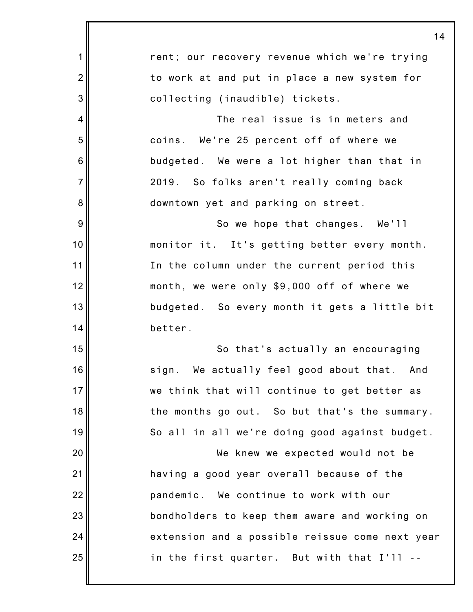|                | 14                                              |
|----------------|-------------------------------------------------|
| 1              | rent; our recovery revenue which we're trying   |
| $\overline{2}$ | to work at and put in place a new system for    |
| 3              | collecting (inaudible) tickets.                 |
| 4              | The real issue is in meters and                 |
| 5              | coins. We're 25 percent off of where we         |
| 6              | budgeted. We were a lot higher than that in     |
| $\overline{7}$ | 2019. So folks aren't really coming back        |
| 8              | downtown yet and parking on street.             |
| 9              | So we hope that changes. We'll                  |
| 10             | monitor it. It's getting better every month.    |
| 11             | In the column under the current period this     |
| 12             | month, we were only \$9,000 off of where we     |
| 13             | budgeted. So every month it gets a little bit   |
| 14             | better.                                         |
| 15             | So that's actually an encouraging               |
| 16             | sign. We actually feel good about that. And     |
| 17             | we think that will continue to get better as    |
| 18             | the months go out. So but that's the summary.   |
| 19             | So all in all we're doing good against budget.  |
| 20             | We knew we expected would not be                |
| 21             | having a good year overall because of the       |
| 22             | pandemic. We continue to work with our          |
| 23             | bondholders to keep them aware and working on   |
| 24             | extension and a possible reissue come next year |
| 25             | in the first quarter. But with that I'll --     |
|                |                                                 |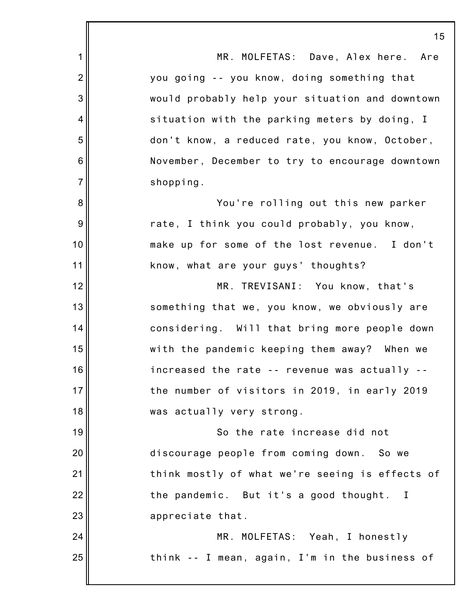|                | 15                                              |
|----------------|-------------------------------------------------|
| 1              | MR. MOLFETAS: Dave, Alex here. Are              |
| $\overline{2}$ | you going -- you know, doing something that     |
| 3              | would probably help your situation and downtown |
| 4              | situation with the parking meters by doing, I   |
| 5              | don't know, a reduced rate, you know, October,  |
| 6              | November, December to try to encourage downtown |
| $\overline{7}$ | shopping.                                       |
| 8              | You're rolling out this new parker              |
| 9              | rate, I think you could probably, you know,     |
| 10             | make up for some of the lost revenue. I don't   |
| 11             | know, what are your guys' thoughts?             |
| 12             | MR. TREVISANI: You know, that's                 |
| 13             | something that we, you know, we obviously are   |
| 14             | considering. Will that bring more people down   |
| 15             | with the pandemic keeping them away? When we    |
| 16             | increased the rate -- revenue was actually --   |
| 17             | the number of visitors in 2019, in early 2019   |
| 18             | was actually very strong.                       |
| 19             | So the rate increase did not                    |
| 20             | discourage people from coming down. So we       |
| 21             | think mostly of what we're seeing is effects of |
| 22             | the pandemic. But it's a good thought. I        |
| 23             | appreciate that.                                |
| 24             | MR. MOLFETAS: Yeah, I honestly                  |
| 25             | think -- I mean, again, I'm in the business of  |
|                |                                                 |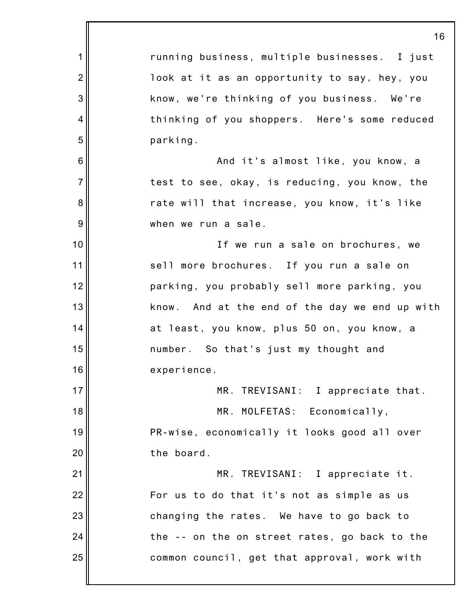|                | 16                                             |
|----------------|------------------------------------------------|
| $\mathbf 1$    | running business, multiple businesses. I just  |
| $\overline{2}$ | look at it as an opportunity to say, hey, you  |
| 3              | know, we're thinking of you business. We're    |
| 4              | thinking of you shoppers. Here's some reduced  |
| 5              | parking.                                       |
| $6\,$          | And it's almost like, you know, a              |
| $\overline{7}$ | test to see, okay, is reducing, you know, the  |
| 8              | rate will that increase, you know, it's like   |
| 9              | when we run a sale.                            |
| 10             | If we run a sale on brochures, we              |
| 11             | sell more brochures. If you run a sale on      |
| 12             | parking, you probably sell more parking, you   |
| 13             | know. And at the end of the day we end up with |
| 14             | at least, you know, plus 50 on, you know, a    |
| 15             | number. So that's just my thought and          |
| 16             | experience.                                    |
| 17             | MR. TREVISANI: I appreciate that.              |
| 18             | MR. MOLFETAS: Economically,                    |
| 19             | PR-wise, economically it looks good all over   |
| 20             | the board.                                     |
| 21             | MR. TREVISANI: I appreciate it.                |
| 22             | For us to do that it's not as simple as us     |
| 23             | changing the rates. We have to go back to      |
| 24             | the -- on the on street rates, go back to the  |
| 25             | common council, get that approval, work with   |
|                |                                                |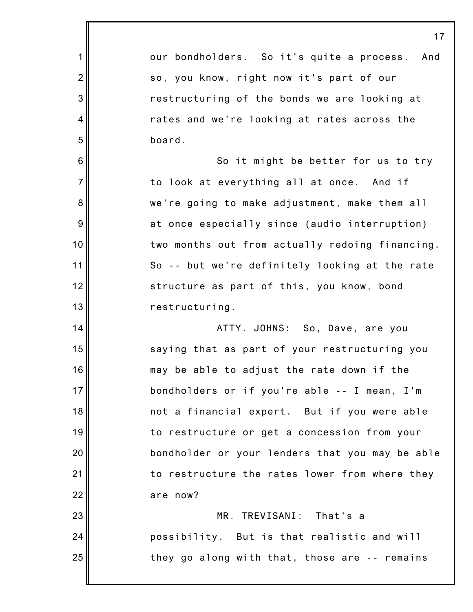|                 | 17                                              |
|-----------------|-------------------------------------------------|
| 1               | our bondholders. So it's quite a process. And   |
| $\overline{2}$  | so, you know, right now it's part of our        |
| 3               | restructuring of the bonds we are looking at    |
| 4               | rates and we're looking at rates across the     |
| 5               | board.                                          |
| $6\phantom{1}6$ | So it might be better for us to try             |
| $\overline{7}$  | to look at everything all at once. And if       |
| 8               | we're going to make adjustment, make them all   |
| 9               | at once especially since (audio interruption)   |
| 10              | two months out from actually redoing financing. |
| 11              | So -- but we're definitely looking at the rate  |
| 12              | structure as part of this, you know, bond       |
| 13              | restructuring.                                  |
| 14              | ATTY. JOHNS: So, Dave, are you                  |
| 15              | saying that as part of your restructuring you   |
| 16              | may be able to adjust the rate down if the      |
| 17              | bondholders or if you're able -- I mean, I'm    |
| 18              | not a financial expert. But if you were able    |
| 19              | to restructure or get a concession from your    |
| 20              | bondholder or your lenders that you may be able |
| 21              | to restructure the rates lower from where they  |
| 22              | are now?                                        |
| 23              | MR. TREVISANI: That's a                         |
| 24              | possibility. But is that realistic and will     |
| 25              | they go along with that, those are -- remains   |
|                 |                                                 |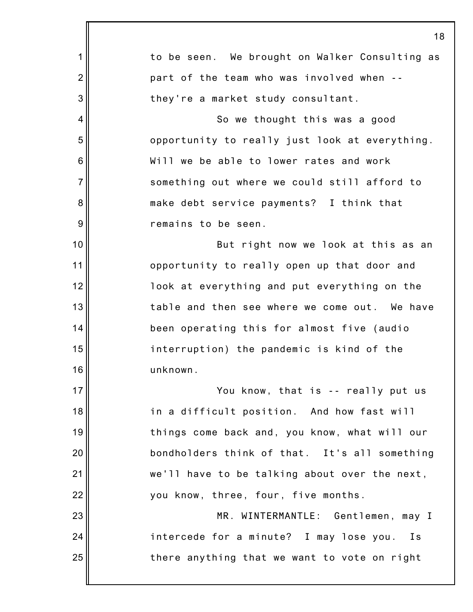|                | 18                                             |
|----------------|------------------------------------------------|
| 1              | to be seen. We brought on Walker Consulting as |
| $\overline{2}$ | part of the team who was involved when --      |
| 3              | they're a market study consultant.             |
| 4              | So we thought this was a good                  |
| 5              | opportunity to really just look at everything. |
| 6              | Will we be able to lower rates and work        |
| $\overline{7}$ | something out where we could still afford to   |
| 8              | make debt service payments? I think that       |
| 9              | remains to be seen.                            |
| 10             | But right now we look at this as an            |
| 11             | opportunity to really open up that door and    |
| 12             | look at everything and put everything on the   |
| 13             | table and then see where we come out. We have  |
| 14             | been operating this for almost five (audio     |
| 15             | interruption) the pandemic is kind of the      |
| 16             | unknown.                                       |
| 17             | You know, that is -- really put us             |
| 18             | in a difficult position. And how fast will     |
| 19             | things come back and, you know, what will our  |
| 20             | bondholders think of that. It's all something  |
| 21             | we'll have to be talking about over the next,  |
| 22             | you know, three, four, five months.            |
| 23             | MR. WINTERMANTLE: Gentlemen, may I             |
| 24             | intercede for a minute? I may lose you.<br>Is  |
| 25             | there anything that we want to vote on right   |
|                |                                                |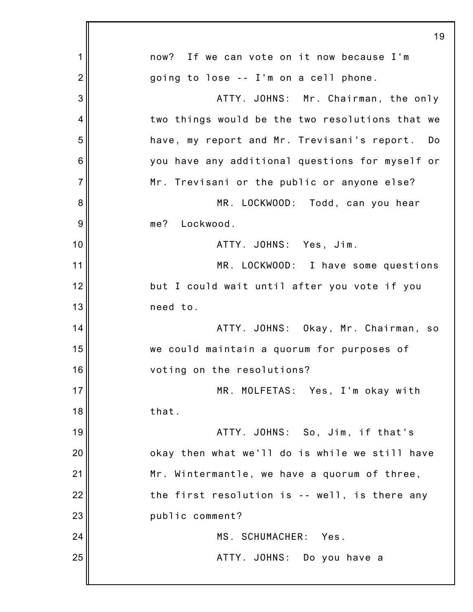|                | 19                                                |
|----------------|---------------------------------------------------|
| 1              | now? If we can vote on it now because I'm         |
| $\overline{2}$ | going to lose -- I'm on a cell phone.             |
| 3              | ATTY. JOHNS: Mr. Chairman, the only               |
| $\overline{4}$ | two things would be the two resolutions that we   |
| 5              | have, my report and Mr. Trevisani's report.<br>Do |
| 6              | you have any additional questions for myself or   |
| $\overline{7}$ | Mr. Trevisani or the public or anyone else?       |
| 8              | MR. LOCKWOOD: Todd, can you hear                  |
| 9              | me? Lockwood.                                     |
| 10             | ATTY. JOHNS: Yes, Jim.                            |
| 11             | MR. LOCKWOOD: I have some questions               |
| 12             | but I could wait until after you vote if you      |
| 13             | need to.                                          |
| 14             | ATTY. JOHNS: Okay, Mr. Chairman, so               |
| 15             | we could maintain a quorum for purposes of        |
| 16             | voting on the resolutions?                        |
| 17             | MR. MOLFETAS: Yes, I'm okay with                  |
| 18             | that.                                             |
| 19             | ATTY. JOHNS: So, Jim, if that's                   |
| 20             | okay then what we'll do is while we still have    |
| 21             | Mr. Wintermantle, we have a quorum of three,      |
| 22             | the first resolution is -- well, is there any     |
| 23             | public comment?                                   |
| 24             | MS. SCHUMACHER: Yes.                              |
| 25             | ATTY. JOHNS: Do you have a                        |
|                |                                                   |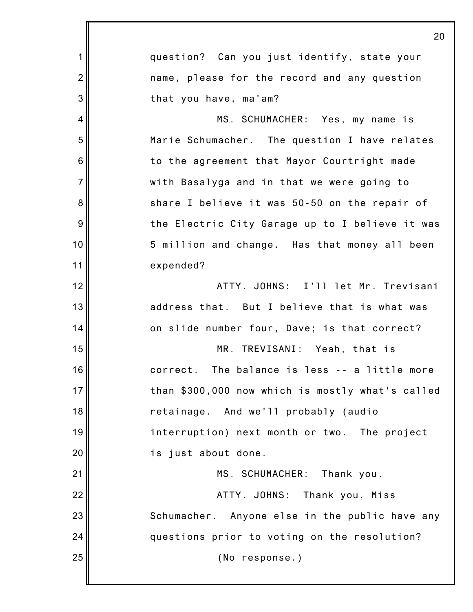|                | 20                                               |
|----------------|--------------------------------------------------|
| 1              | question? Can you just identify, state your      |
| $\overline{2}$ | name, please for the record and any question     |
| 3              | that you have, ma'am?                            |
| 4              | MS. SCHUMACHER: Yes, my name is                  |
| 5              | Marie Schumacher. The question I have relates    |
| 6              | to the agreement that Mayor Courtright made      |
| $\overline{7}$ | with Basalyga and in that we were going to       |
| 8              | share I believe it was 50-50 on the repair of    |
| 9              | the Electric City Garage up to I believe it was  |
| 10             | 5 million and change. Has that money all been    |
| 11             | expended?                                        |
| 12             | ATTY. JOHNS: I'll let Mr. Trevisani              |
| 13             | address that. But I believe that is what was     |
| 14             | on slide number four, Dave; is that correct?     |
| 15             | MR. TREVISANI: Yeah, that is                     |
| 16             | correct.<br>The balance is less -- a little more |
| 17             | than \$300,000 now which is mostly what's called |
| 18             | retainage. And we'll probably (audio             |
| 19             | interruption) next month or two. The project     |
| 20             | is just about done.                              |
| 21             | MS. SCHUMACHER: Thank you.                       |
| 22             | ATTY. JOHNS: Thank you, Miss                     |
| 23             | Schumacher. Anyone else in the public have any   |
| 24             | questions prior to voting on the resolution?     |
| 25             | (No response.)                                   |
|                |                                                  |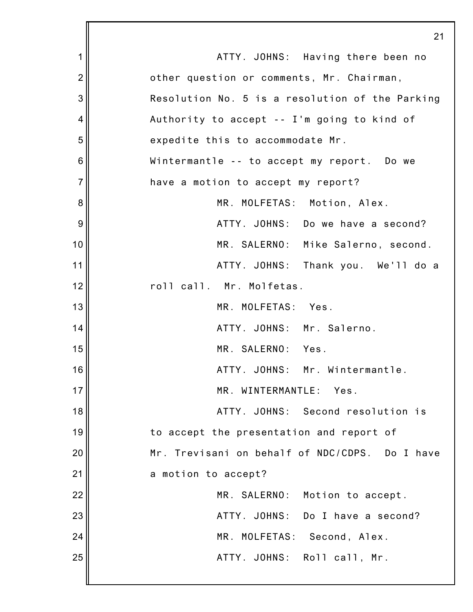|                 | 21                                              |
|-----------------|-------------------------------------------------|
| 1               | ATTY. JOHNS: Having there been no               |
| $\overline{2}$  | other question or comments, Mr. Chairman,       |
| 3               | Resolution No. 5 is a resolution of the Parking |
| $\overline{4}$  | Authority to accept -- I'm going to kind of     |
| 5               | expedite this to accommodate Mr.                |
| $6\phantom{1}6$ | Wintermantle -- to accept my report. Do we      |
| $\overline{7}$  | have a motion to accept my report?              |
| 8               | MR. MOLFETAS: Motion, Alex.                     |
| 9               | ATTY. JOHNS: Do we have a second?               |
| 10              | MR. SALERNO: Mike Salerno, second.              |
| 11              | ATTY. JOHNS: Thank you. We'll do a              |
| 12              | roll call. Mr. Molfetas.                        |
| 13              | MR. MOLFETAS: Yes.                              |
| 14              | ATTY. JOHNS: Mr. Salerno.                       |
| 15              | MR. SALERNO: Yes.                               |
| 16              | ATTY. JOHNS: Mr. Wintermantle.                  |
| 17              | MR. WINTERMANTLE:<br>Yes.                       |
| 18              | ATTY. JOHNS: Second resolution is               |
| 19              | to accept the presentation and report of        |
| 20              | Mr. Trevisani on behalf of NDC/CDPS. Do I have  |
| 21              | a motion to accept?                             |
| 22              | MR. SALERNO:<br>Motion to accept.               |
| 23              | ATTY. JOHNS: Do I have a second?                |
| 24              | MR. MOLFETAS:<br>Second, Alex.                  |
| 25              | ATTY. JOHNS: Roll call, Mr.                     |
|                 |                                                 |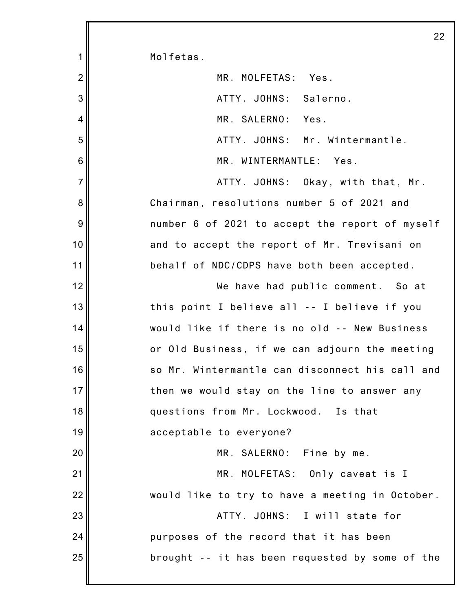|                 | 22                                              |
|-----------------|-------------------------------------------------|
| 1               | Molfetas.                                       |
| $\overline{2}$  | MR. MOLFETAS: Yes.                              |
| 3               | ATTY. JOHNS: Salerno.                           |
| 4               | MR. SALERNO: Yes.                               |
| 5               | ATTY. JOHNS: Mr. Wintermantle.                  |
| $6\phantom{1}6$ | MR. WINTERMANTLE: Yes.                          |
| $\overline{7}$  | ATTY. JOHNS: Okay, with that, Mr.               |
| 8               | Chairman, resolutions number 5 of 2021 and      |
| 9               | number 6 of 2021 to accept the report of myself |
| 10              | and to accept the report of Mr. Trevisani on    |
| 11              | behalf of NDC/CDPS have both been accepted.     |
| 12              | We have had public comment. So at               |
| 13              | this point I believe all -- I believe if you    |
| 14              | would like if there is no old -- New Business   |
| 15              | or Old Business, if we can adjourn the meeting  |
| 16              | so Mr. Wintermantle can disconnect his call and |
| 17              | then we would stay on the line to answer any    |
| 18              | questions from Mr. Lockwood. Is that            |
| 19              | acceptable to everyone?                         |
| 20              | MR. SALERNO: Fine by me.                        |
| 21              | MR. MOLFETAS: Only caveat is I                  |
| 22              | would like to try to have a meeting in October. |
| 23              | ATTY. JOHNS: I will state for                   |
| 24              | purposes of the record that it has been         |
| 25              | brought -- it has been requested by some of the |
|                 |                                                 |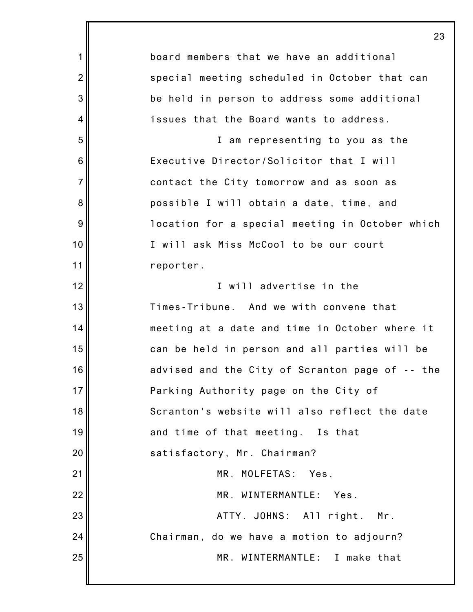|                 | 23                                              |
|-----------------|-------------------------------------------------|
| 1               | board members that we have an additional        |
| $\overline{2}$  | special meeting scheduled in October that can   |
| 3               | be held in person to address some additional    |
| 4               | issues that the Board wants to address.         |
| 5               | I am representing to you as the                 |
| $6\phantom{1}6$ | Executive Director/Solicitor that I will        |
| $\overline{7}$  | contact the City tomorrow and as soon as        |
| 8               | possible I will obtain a date, time, and        |
| 9               | location for a special meeting in October which |
| 10              | I will ask Miss McCool to be our court          |
| 11              | reporter.                                       |
| 12              | I will advertise in the                         |
| 13              | Times-Tribune. And we with convene that         |
| 14              | meeting at a date and time in October where it  |
| 15              | can be held in person and all parties will be   |
| 16              | advised and the City of Scranton page of -- the |
| 17              | Parking Authority page on the City of           |
| 18              | Scranton's website will also reflect the date   |
| 19              | and time of that meeting. Is that               |
| 20              | satisfactory, Mr. Chairman?                     |
| 21              | MR. MOLFETAS:<br>Yes.                           |
| 22              | MR. WINTERMANTLE: Yes.                          |
| 23              | ATTY. JOHNS: All right. Mr.                     |
| 24              | Chairman, do we have a motion to adjourn?       |
| 25              | MR. WINTERMANTLE: I make that                   |
|                 |                                                 |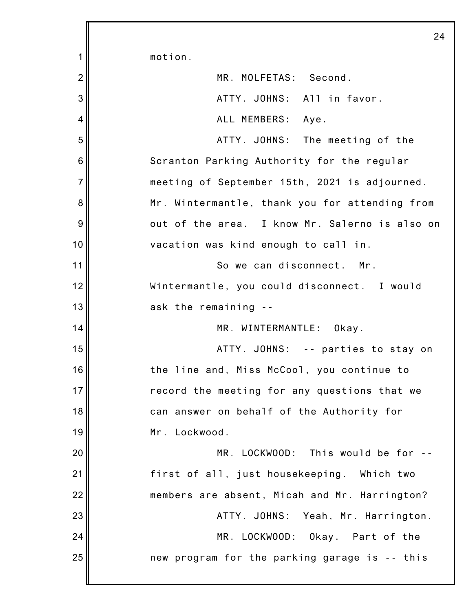1 2 3 4 5 6 7 8 9 10 11 12 13 14 15 16 17 18 19 20 21 22 23 24 25 24 motion. MR. MOLFETAS: Second. ATTY. JOHNS: All in favor. ALL MEMBERS: Aye. ATTY. JOHNS: The meeting of the Scranton Parking Authority for the regular meeting of September 15th, 2021 is adjourned. Mr. Wintermantle, thank you for attending from out of the area. I know Mr. Salerno is also on vacation was kind enough to call in. So we can disconnect. Mr. Wintermantle, you could disconnect. I would ask the remaining -- MR. WINTERMANTLE: Okay. ATTY. JOHNS: -- parties to stay on the line and, Miss McCool, you continue to record the meeting for any questions that we can answer on behalf of the Authority for Mr. Lockwood. MR. LOCKWOOD: This would be for - first of all, just housekeeping. Which two members are absent, Micah and Mr. Harrington? ATTY. JOHNS: Yeah, Mr. Harrington. MR. LOCKWOOD: Okay. Part of the new program for the parking garage is -- this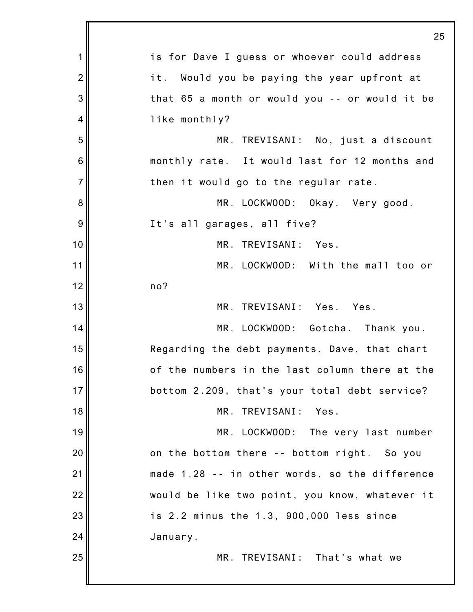|                 | $\overline{2}$                                 |
|-----------------|------------------------------------------------|
| 1               | is for Dave I guess or whoever could address   |
| $\overline{2}$  | it. Would you be paying the year upfront at    |
| 3               | that 65 a month or would you -- or would it be |
| 4               | like monthly?                                  |
| 5               | MR. TREVISANI: No, just a discount             |
| $6\phantom{1}6$ | monthly rate. It would last for 12 months and  |
| $\overline{7}$  | then it would go to the regular rate.          |
| 8               | MR. LOCKWOOD: Okay. Very good.                 |
| 9               | It's all garages, all five?                    |
| 10              | MR. TREVISANI: Yes.                            |
| 11              | MR. LOCKWOOD: With the mall too or             |
| 12              | no?                                            |
| 13              | MR. TREVISANI: Yes. Yes.                       |
| 14              | MR. LOCKWOOD: Gotcha. Thank you.               |
| 15              | Regarding the debt payments, Dave, that chart  |
| 16              | of the numbers in the last column there at the |
| 17              | bottom 2.209, that's your total debt service?  |
| 18              | MR. TREVISANI: Yes.                            |
| 19              | MR. LOCKWOOD: The very last number             |
| 20              | on the bottom there -- bottom right. So you    |
| 21              | made 1.28 -- in other words, so the difference |
| 22              | would be like two point, you know, whatever it |
| 23              | is 2.2 minus the 1.3, 900,000 less since       |
| 24              | January.                                       |
| 25              | MR. TREVISANI: That's what we                  |
|                 |                                                |

 $25^{\circ}$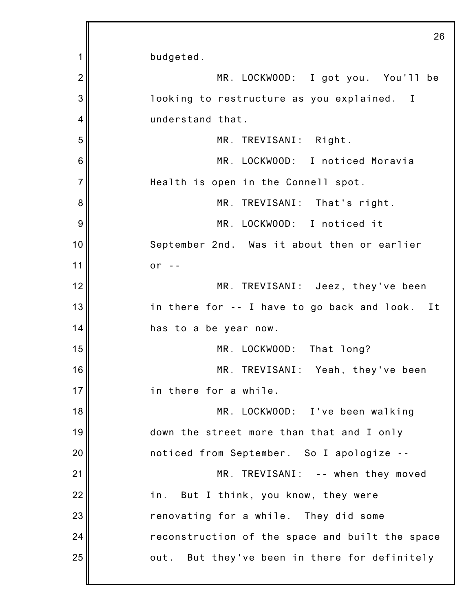1 2 3 4 5 6 7 8 9 10 11 12 13 14 15 16 17 18 19 20 21 22 23 24 25 26 budgeted. MR. LOCKWOOD: I got you. You'll be looking to restructure as you explained. I understand that. MR. TREVISANI: Right. MR. LOCKWOOD: I noticed Moravia Health is open in the Connell spot. MR. TREVISANI: That's right. MR. LOCKWOOD: I noticed it September 2nd. Was it about then or earlier or  $-$ MR. TREVISANI: Jeez, they've been in there for -- I have to go back and look. It has to a be year now. MR. LOCKWOOD: That long? MR. TREVISANI: Yeah, they've been in there for a while. MR. LOCKWOOD: I've been walking down the street more than that and I only noticed from September. So I apologize -- MR. TREVISANI: -- when they moved in. But I think, you know, they were renovating for a while. They did some reconstruction of the space and built the space out. But they've been in there for definitely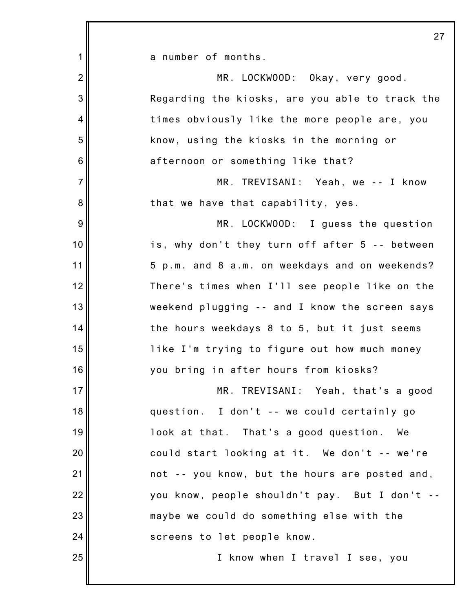|                 | 27                                              |
|-----------------|-------------------------------------------------|
| 1               | a number of months.                             |
| $\overline{2}$  | MR. LOCKWOOD: Okay, very good.                  |
| 3               | Regarding the kiosks, are you able to track the |
| $\overline{4}$  | times obviously like the more people are, you   |
| 5               | know, using the kiosks in the morning or        |
| $6\phantom{1}6$ | afternoon or something like that?               |
| $\overline{7}$  | MR. TREVISANI: Yeah, we -- I know               |
| 8               | that we have that capability, yes.              |
| 9               | MR. LOCKWOOD: I guess the question              |
| 10              | is, why don't they turn off after 5 -- between  |
| 11              | 5 p.m. and 8 a.m. on weekdays and on weekends?  |
| 12              | There's times when I'll see people like on the  |
| 13              | weekend plugging -- and I know the screen says  |
| 14              | the hours weekdays 8 to 5, but it just seems    |
| 15              | like I'm trying to figure out how much money    |
| 16              | you bring in after hours from kiosks?           |
| 17              | MR. TREVISANI: Yeah, that's a good              |
| 18              | question. I don't -- we could certainly go      |
| 19              | look at that. That's a good question. We        |
| 20              | could start looking at it. We don't -- we're    |
| 21              | not -- you know, but the hours are posted and,  |
| 22              | you know, people shouldn't pay. But I don't --  |
| 23              | maybe we could do something else with the       |
| 24              | screens to let people know.                     |
| 25              | I know when I travel I see, you                 |
|                 |                                                 |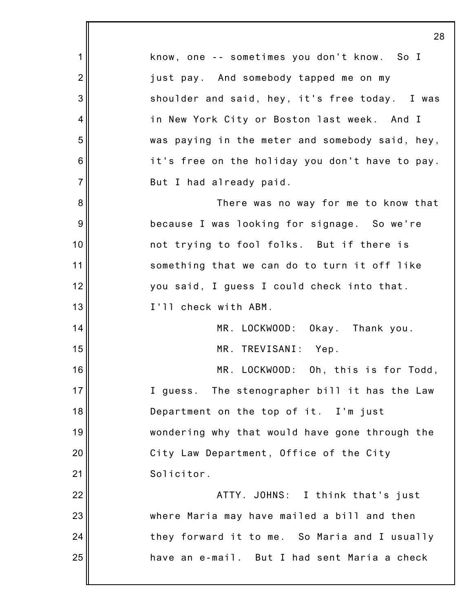1 2 3 4 5 6 7 8 9 10 11 12 13 14 15 16 17 18 19 20 21 22 23 24 25 28 know, one -- sometimes you don't know. So I just pay. And somebody tapped me on my shoulder and said, hey, it's free today. I was in New York City or Boston last week. And I was paying in the meter and somebody said, hey, it's free on the holiday you don't have to pay. But I had already paid. There was no way for me to know that because I was looking for signage. So we're not trying to fool folks. But if there is something that we can do to turn it off like you said, I guess I could check into that. I'll check with ABM. MR. LOCKWOOD: Okay. Thank you. MR. TREVISANI: Yep. MR. LOCKWOOD: Oh, this is for Todd, I guess. The stenographer bill it has the Law Department on the top of it. I'm just wondering why that would have gone through the City Law Department, Office of the City Solicitor. ATTY. JOHNS: I think that's just where Maria may have mailed a bill and then they forward it to me. So Maria and I usually have an e-mail. But I had sent Maria a check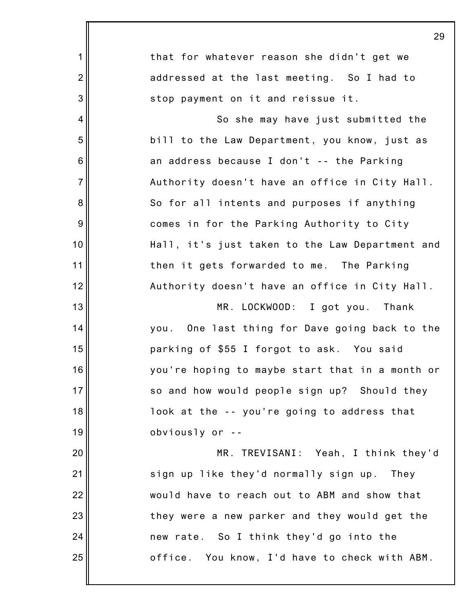|                 | 29                                              |
|-----------------|-------------------------------------------------|
| 1               | that for whatever reason she didn't get we      |
| $\overline{2}$  | addressed at the last meeting. So I had to      |
| 3               | stop payment on it and reissue it.              |
| 4               | So she may have just submitted the              |
| 5               | bill to the Law Department, you know, just as   |
| $6\phantom{1}6$ | an address because I don't -- the Parking       |
| $\overline{7}$  | Authority doesn't have an office in City Hall.  |
| 8               | So for all intents and purposes if anything     |
| $\overline{9}$  | comes in for the Parking Authority to City      |
| 10              | Hall, it's just taken to the Law Department and |
| 11              | then it gets forwarded to me. The Parking       |
| 12              | Authority doesn't have an office in City Hall.  |
| 13              | MR. LOCKWOOD: I got you. Thank                  |
| 14              | you. One last thing for Dave going back to the  |
| 15              | parking of \$55 I forgot to ask. You said       |
| 16              | you're hoping to maybe start that in a month or |
| 17              | so and how would people sign up? Should they    |
| 18              | look at the -- you're going to address that     |
| 19              | obviously or --                                 |
| 20              | MR. TREVISANI: Yeah, I think they'd             |
| 21              | sign up like they'd normally sign up. They      |
| 22              | would have to reach out to ABM and show that    |
| 23              | they were a new parker and they would get the   |
| 24              | new rate. So I think they'd go into the         |
| 25              | office. You know, I'd have to check with ABM.   |
|                 |                                                 |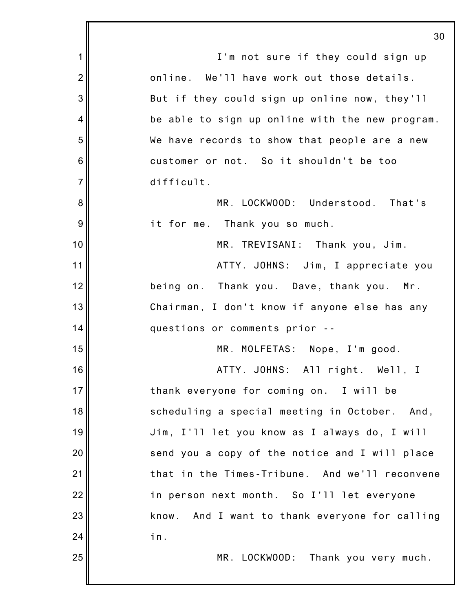1 2 3 4 5 6 7 8 9 10 11 12 13 14 15 16 17 18 19 20 21 22 23 24 25 30 I'm not sure if they could sign up online. We'll have work out those details. But if they could sign up online now, they'll be able to sign up online with the new program. We have records to show that people are a new customer or not. So it shouldn't be too difficult. MR. LOCKWOOD: Understood. That's it for me. Thank you so much. MR. TREVISANI: Thank you, Jim. ATTY. JOHNS: Jim, I appreciate you being on. Thank you. Dave, thank you. Mr. Chairman, I don't know if anyone else has any questions or comments prior -- MR. MOLFETAS: Nope, I'm good. ATTY. JOHNS: All right. Well, I thank everyone for coming on. I will be scheduling a special meeting in October. And, Jim, I'll let you know as I always do, I will send you a copy of the notice and I will place that in the Times-Tribune. And we'll reconvene in person next month. So I'll let everyone know. And I want to thank everyone for calling in. MR. LOCKWOOD: Thank you very much.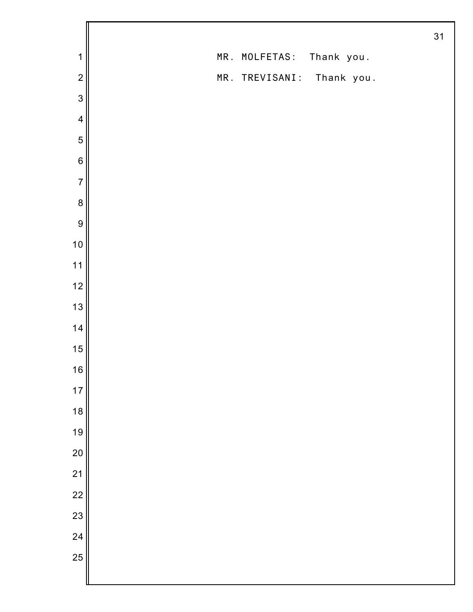|                         |                           | 31 |
|-------------------------|---------------------------|----|
| $\mathbf 1$             | MR. MOLFETAS: Thank you.  |    |
| $\mathbf 2$             | MR. TREVISANI: Thank you. |    |
| $\mathbf{3}$            |                           |    |
| $\overline{\mathbf{4}}$ |                           |    |
| 5                       |                           |    |
| $\,6$                   |                           |    |
| $\overline{7}$          |                           |    |
| $\bf 8$                 |                           |    |
| 9                       |                           |    |
| 10                      |                           |    |
| $11$                    |                           |    |
| 12                      |                           |    |
| 13                      |                           |    |
| 14                      |                           |    |
| 15                      |                           |    |
| 16                      |                           |    |
| $17$                    |                           |    |
| 18                      |                           |    |
| 19                      |                           |    |
| 20                      |                           |    |
| $\overline{21}$         |                           |    |
| $\overline{22}$         |                           |    |
| 23                      |                           |    |
| 24                      |                           |    |
| 25                      |                           |    |
|                         |                           |    |